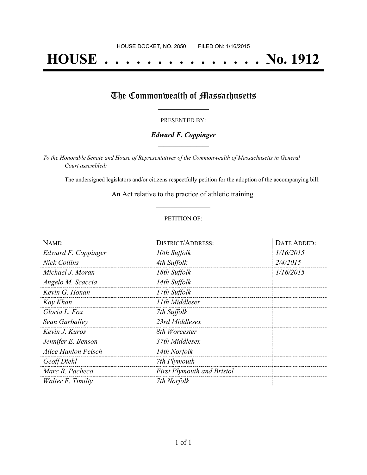# **HOUSE . . . . . . . . . . . . . . . No. 1912**

### The Commonwealth of Massachusetts

#### PRESENTED BY:

#### *Edward F. Coppinger* **\_\_\_\_\_\_\_\_\_\_\_\_\_\_\_\_\_**

*To the Honorable Senate and House of Representatives of the Commonwealth of Massachusetts in General Court assembled:*

The undersigned legislators and/or citizens respectfully petition for the adoption of the accompanying bill:

An Act relative to the practice of athletic training. **\_\_\_\_\_\_\_\_\_\_\_\_\_\_\_**

#### PETITION OF:

| NAME:               | <b>DISTRICT/ADDRESS:</b>          | DATE ADDED: |
|---------------------|-----------------------------------|-------------|
| Edward F. Coppinger | 10th Suffolk                      | 1/16/2015   |
| <b>Nick Collins</b> | 4th Suffolk                       | 2/4/2015    |
| Michael J. Moran    | 18th Suffolk                      | 1/16/2015   |
| Angelo M. Scaccia   | 14th Suffolk                      |             |
| Kevin G. Honan      | 17th Suffolk                      |             |
| Kay Khan            | 11th Middlesex                    |             |
| Gloria L. Fox       | 7th Suffolk                       |             |
| Sean Garballey      | 23rd Middlesex                    |             |
| Kevin J. Kuros      | 8th Worcester                     |             |
| Jennifer E. Benson  | 37th Middlesex                    |             |
| Alice Hanlon Peisch | 14th Norfolk                      |             |
| Geoff Diehl         | 7th Plymouth                      |             |
| Marc R. Pacheco     | <b>First Plymouth and Bristol</b> |             |
| Walter F. Timilty   | 7th Norfolk                       |             |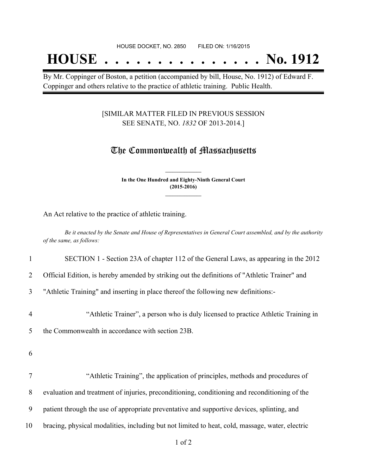## **HOUSE . . . . . . . . . . . . . . . No. 1912**

By Mr. Coppinger of Boston, a petition (accompanied by bill, House, No. 1912) of Edward F. Coppinger and others relative to the practice of athletic training. Public Health.

#### [SIMILAR MATTER FILED IN PREVIOUS SESSION SEE SENATE, NO. *1832* OF 2013-2014.]

### The Commonwealth of Massachusetts

**In the One Hundred and Eighty-Ninth General Court (2015-2016) \_\_\_\_\_\_\_\_\_\_\_\_\_\_\_**

**\_\_\_\_\_\_\_\_\_\_\_\_\_\_\_**

An Act relative to the practice of athletic training.

Be it enacted by the Senate and House of Representatives in General Court assembled, and by the authority *of the same, as follows:*

| $\mathbf{1}$   | SECTION 1 - Section 23A of chapter 112 of the General Laws, as appearing in the 2012          |
|----------------|-----------------------------------------------------------------------------------------------|
| 2              | Official Edition, is hereby amended by striking out the definitions of "Athletic Trainer" and |
| 3              | "Athletic Training" and inserting in place thereof the following new definitions:-            |
| $\overline{4}$ | "Athletic Trainer", a person who is duly licensed to practice Athletic Training in            |
| 5              | the Commonwealth in accordance with section 23B.                                              |
| 6              |                                                                                               |
| $\overline{7}$ | "Athletic Training", the application of principles, methods and procedures of                 |
| 8              | evaluation and treatment of injuries, preconditioning, conditioning and reconditioning of the |
| 9              | patient through the use of appropriate preventative and supportive devices, splinting, and    |

10 bracing, physical modalities, including but not limited to heat, cold, massage, water, electric